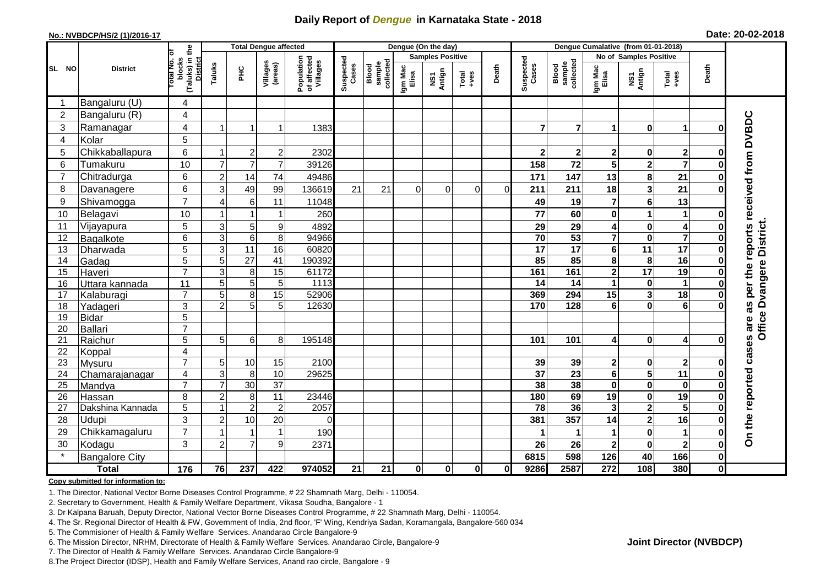## **Daily Report of** *Dengue* **in Karnataka State - 2018**

#### **No.: NVBDCP/HS/2 (1)/2016-17**

|  |  | Date: 20-02-2018 |
|--|--|------------------|
|--|--|------------------|

|                |                       |                                                       |                           | <b>Total Dengue affected</b> |                     |                                       |                    |                              |                  | Dengue (On the day)     |                                                              |          |                    |                              |                         |                         |                         |              |                                        |
|----------------|-----------------------|-------------------------------------------------------|---------------------------|------------------------------|---------------------|---------------------------------------|--------------------|------------------------------|------------------|-------------------------|--------------------------------------------------------------|----------|--------------------|------------------------------|-------------------------|-------------------------|-------------------------|--------------|----------------------------------------|
|                |                       |                                                       |                           |                              |                     |                                       |                    |                              |                  | <b>Samples Positive</b> |                                                              |          |                    |                              |                         | No of Samples Positive  |                         |              |                                        |
| SL NO          | <b>District</b>       | (Taluks) in the<br>District<br>lotal No. of<br>blocks | Taluks                    | $rac{C}{\pi}$                | Villages<br>(areas) | Population<br>of affected<br>Villages | Suspected<br>Cases | sample<br>collected<br>Blood | Igm Mac<br>Elisa | NS1<br>Antign           | $\begin{array}{c}\n\text{Total} \\ \text{+ves}\n\end{array}$ | Death    | Suspected<br>Cases | Blood<br>sample<br>collected | Igm Mac<br>Elisa        | NS1<br>Antign           | Total<br>+ves           | Death        |                                        |
| -1             | Bangaluru (U)         | 4                                                     |                           |                              |                     |                                       |                    |                              |                  |                         |                                                              |          |                    |                              |                         |                         |                         |              |                                        |
| $\overline{2}$ | Bangaluru (R)         | $\overline{4}$                                        |                           |                              |                     |                                       |                    |                              |                  |                         |                                                              |          |                    |                              |                         |                         |                         |              |                                        |
| 3              | Ramanagar             | 4                                                     | $\overline{1}$            |                              | $\mathbf{1}$        | 1383                                  |                    |                              |                  |                         |                                                              |          | $\overline{7}$     | $\overline{7}$               | 1                       | $\bf{0}$                | 1                       | 0            | as per the reports received from DVBDC |
| $\overline{4}$ | Kolar                 | 5                                                     |                           |                              |                     |                                       |                    |                              |                  |                         |                                                              |          |                    |                              |                         |                         |                         |              |                                        |
| 5              | Chikkaballapura       | 6                                                     | -1                        | $\overline{2}$               | $\overline{c}$      | 2302                                  |                    |                              |                  |                         |                                                              |          | $\mathbf{2}$       | $2 \vert$                    | $\mathbf 2$             | $\pmb{0}$               | $\overline{\mathbf{2}}$ | O            |                                        |
| 6              | Tumakuru              | 10                                                    | $\overline{7}$            | $\overline{7}$               | $\overline{7}$      | 39126                                 |                    |                              |                  |                         |                                                              |          | 158                | 72                           | 5                       | $\overline{\mathbf{2}}$ | $\overline{7}$          | ŋ            |                                        |
| $\overline{7}$ | Chitradurga           | 6                                                     | $\overline{c}$            | 14                           | 74                  | 49486                                 |                    |                              |                  |                         |                                                              |          | 171                | 147                          | 13                      | 8                       | 21                      | O            |                                        |
| 8              | Davanagere            | 6                                                     | 3                         | 49                           | 99                  | 136619                                | 21                 | 21                           | $\Omega$         | $\mathbf 0$             | 0                                                            | $\Omega$ | 211                | 211                          | 18                      | $\mathbf{3}$            | 21                      | O            |                                        |
| 9              | Shivamogga            | $\overline{7}$                                        | $\overline{4}$            | 6                            | 11                  | 11048                                 |                    |                              |                  |                         |                                                              |          | 49                 | 19                           | 7                       | $\bf 6$                 | 13                      |              |                                        |
| 10             | Belagavi              | 10                                                    |                           |                              | -1                  | 260                                   |                    |                              |                  |                         |                                                              |          | 77                 | 60                           | 0                       | $\overline{1}$          | 1                       | 0            |                                        |
| 11             | Vijayapura            | $5\phantom{.0}$                                       | 3                         | 5                            | 9                   | 4892                                  |                    |                              |                  |                         |                                                              |          | 29                 | 29                           | 4                       | $\pmb{0}$               | $\overline{4}$          |              | Office Dvangere District.              |
| 12             | Bagalkote             | 6                                                     | $\overline{3}$            | $\overline{6}$               | 8                   | 94966                                 |                    |                              |                  |                         |                                                              |          | 70                 | 53                           | $\overline{\mathbf{7}}$ | $\overline{\mathbf{0}}$ | $\overline{\mathbf{7}}$ | $\bf{0}$     |                                        |
| 13             | Dharwada              | 5                                                     | $\ensuremath{\mathsf{3}}$ | $\overline{11}$              | 16                  | 60820                                 |                    |                              |                  |                         |                                                              |          | $\overline{17}$    | $\overline{17}$              | 6                       | $\overline{11}$         | 17                      | 0            |                                        |
| 14             | Gadag                 | $\overline{5}$                                        | 5                         | $\overline{27}$              | 41                  | 190392                                |                    |                              |                  |                         |                                                              |          | 85                 | 85                           | 8                       | 8                       | $\overline{16}$         | O            |                                        |
| 15             | Haveri                | $\overline{7}$                                        | 3                         | 8                            | 15                  | 61172                                 |                    |                              |                  |                         |                                                              |          | 161                | 161                          | $\mathbf{2}$            | $\overline{17}$         | $\overline{19}$         | O            |                                        |
| 16             | Uttara kannada        | 11                                                    | 5                         | $\overline{5}$               | 5                   | 1113                                  |                    |                              |                  |                         |                                                              |          | 14                 | 14                           | 1                       | $\pmb{0}$               | $\mathbf 1$             |              |                                        |
| 17             | Kalaburagi            | $\overline{7}$                                        | 5                         | 8                            | $\overline{15}$     | 52906                                 |                    |                              |                  |                         |                                                              |          | 369                | 294                          | 15                      | $\overline{\mathbf{3}}$ | $\overline{18}$         | $\bf{0}$     |                                        |
| 18             | Yadageri              | 3                                                     | $\overline{2}$            | 5                            | 5                   | 12630                                 |                    |                              |                  |                         |                                                              |          | 170                | 128                          | 6                       | $\mathbf 0$             | 6                       |              |                                        |
| 19             | <b>Bidar</b>          | 5                                                     |                           |                              |                     |                                       |                    |                              |                  |                         |                                                              |          |                    |                              |                         |                         |                         |              |                                        |
| 20             | Ballari               | $\overline{7}$                                        |                           |                              |                     |                                       |                    |                              |                  |                         |                                                              |          |                    |                              |                         |                         |                         |              |                                        |
| 21             | Raichur               | 5                                                     | 5                         | $\,6$                        | 8                   | 195148                                |                    |                              |                  |                         |                                                              |          | 101                | 101                          | 4                       | $\bf{0}$                | 4                       | 0            |                                        |
| 22             | Koppal                | 4                                                     |                           |                              |                     |                                       |                    |                              |                  |                         |                                                              |          |                    |                              |                         |                         |                         |              |                                        |
| 23             | Mysuru                | $\overline{7}$                                        | 5                         | 10                           | 15                  | 2100                                  |                    |                              |                  |                         |                                                              |          | 39                 | 39                           | $\mathbf{2}$            | $\mathbf 0$             | $\mathbf{2}$            |              |                                        |
| 24             | Chamarajanagar        | 4<br>$\overline{7}$                                   | 3                         | 8                            | 10                  | 29625                                 |                    |                              |                  |                         |                                                              |          | 37                 | $\overline{23}$              | 6                       | $\overline{\mathbf{5}}$ | 11                      | $\bf{0}$     |                                        |
| 25             | Mandya                |                                                       | $\overline{7}$            | 30                           | $\overline{37}$     |                                       |                    |                              |                  |                         |                                                              |          | 38                 | 38                           | 0                       | $\mathbf 0$             | $\bf{0}$                | O            |                                        |
| 26             | Hassan                | 8                                                     | $\overline{c}$<br>1       | 8                            | $\overline{11}$     | 23446                                 |                    |                              |                  |                         |                                                              |          | 180<br>78          | 69<br>36                     | 19                      | $\pmb{0}$               | 19<br>$\overline{5}$    | 0            |                                        |
| 27             | Dakshina Kannada      | 5                                                     |                           | $\overline{2}$               | $\overline{2}$      | 2057                                  |                    |                              |                  |                         |                                                              |          |                    |                              | $\mathbf{3}$            | $\overline{\mathbf{2}}$ |                         | 0            |                                        |
| 28             | Udupi                 | 3                                                     | $\overline{2}$            | 10                           | 20                  | $\Omega$                              |                    |                              |                  |                         |                                                              |          | 381                | 357                          | 14                      | $\overline{\mathbf{2}}$ | 16                      | $\bf{0}$     |                                        |
| 29             | Chikkamagaluru        | $\overline{7}$                                        |                           |                              | $\mathbf{1}$        | 190                                   |                    |                              |                  |                         |                                                              |          |                    |                              | 1                       | $\mathbf 0$             | $\mathbf 1$             | 0            | On the reported cases are              |
| 30<br>$\star$  | Kodagu                | 3                                                     | $\overline{c}$            | $\overline{7}$               | 9                   | 2371                                  |                    |                              |                  |                         |                                                              |          | 26                 | 26                           | $\mathbf 2$             | $\mathbf 0$             | $\mathbf{2}$            | 0            |                                        |
|                | <b>Bangalore City</b> |                                                       |                           |                              |                     |                                       |                    |                              |                  |                         |                                                              |          | 6815               | 598                          | 126                     | 40                      | 166                     | $\mathbf 0$  |                                        |
|                | <b>Total</b>          | $\frac{1}{176}$                                       | 76                        | 237                          | 422                 | 974052                                | 21                 | 21                           | $\mathbf{0}$     | $\pmb{0}$               | $\mathbf{0}$                                                 | 01       | 9286               | 2587                         | 272                     | 108                     | 380                     | $\mathbf{0}$ |                                        |

#### **Copy submitted for information to:**

1. The Director, National Vector Borne Diseases Control Programme, # 22 Shamnath Marg, Delhi - 110054.

2. Secretary to Government, Health & Family Welfare Department, Vikasa Soudha, Bangalore - 1

3. Dr Kalpana Baruah, Deputy Director, National Vector Borne Diseases Control Programme, # 22 Shamnath Marg, Delhi - 110054.

4. The Sr. Regional Director of Health & FW, Government of India, 2nd floor, 'F' Wing, Kendriya Sadan, Koramangala, Bangalore-560 034

5. The Commisioner of Health & Family Welfare Services. Anandarao Circle Bangalore-9

6. The Mission Director, NRHM, Directorate of Health & Family Welfare Services. Anandarao Circle, Bangalore-9

7. The Director of Health & Family Welfare Services. Anandarao Circle Bangalore-9

8.The Project Director (IDSP), Health and Family Welfare Services, Anand rao circle, Bangalore - 9